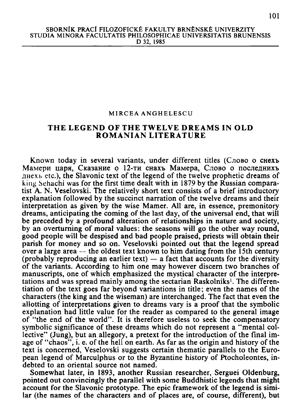## MIRCEA ANGHELESCU

## THE LEGEND OF THE TWELVE DREAMS IN OLD **ROMANIAN LITERATURE**

Known today in several variants, under different titles (Слово о снехъ Мамери царя. Сказание о 12-ти снахъ Мамера. Слово о последнихъ  $\mu$ нехъ etc.), the Slavonic text of the legend of the twelve prophetic dreams of king Sehachi was for the first time dealt with in 1879 by the Russian comparatist A. N. Veselovski. The relatively short text consists of a brief introductory explanation followed by the succinct narration of the twelve dreams and their interpretation as given by the wise Mamer. All are, in essence, premonitory dreams, anticipating the coming of the last day, of the universal end, that will be preceded by a profound alteration of relationships in nature and society, by an overturning of moral values: the seasons will go the other way round, good people will be despised and bad people praised, priests will obtain their parish for money and so on. Veselovski pointed out that the legend spread over a large area  $-$  the oldest text known to him dating from the 15th century (probably reproducing an earlier text)  $-$  a fact that accounts for the diversity of the variants. According to him one may however discern two branches of manuscripts, one of which emphasized the mystical character of the interpretations and was spread mainly among the sectarian Raskolniks<sup>1</sup>. The differentiation of the text goes far beyond variantions in title; even the names of the characters (the king and the wiseman) are interchanged. The fact that even the allotting of interpretations given to dreams vary is a proof that the symbolic explanation had little value for the reader as compared to the general image of "the end of the world". It is therefore useless to seek the compensatory symbolic significance of these dreams which do not represent a "mental collective" (Jung), but an allegory, a pretext for the introduction of the final image of "chaos", i. e. of the hell on earth. As far as the origin and history of the text is concerned, Veselovski suggests certain thematic parallels to the European legend of Marculphus or to the Byzantine history of Ptocholeontes, indebted to an oriental source not named.

Somewhat later, in 1893, another Russian researcher, Serguei Oldenburg, pointed out convincingly the parallel with some Buddhistic legends that might account for the Slavonic prototype. The epic framework of the legend is similar (the names of the characters and of places are, of course, different), but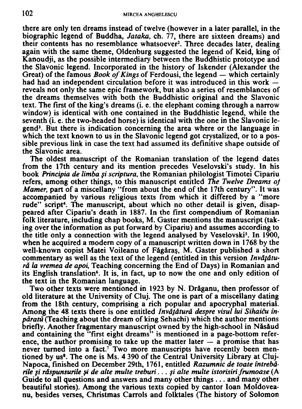there are only ten dreams instead of twelve (however in a later parallel, in the biographic legend of Buddha, *Jataka,* ch. 77, there are sixteen dreams) and their contents has no resemblance whatsoever<sup>2</sup>. Three decades later, dealing again with the same theme, Oldenburg suggested the legend of Keid, king of Kanoudji, as the possible intermediary between the Buddhistic prototype and the Slavonic legend. Incorporated in the history of Iskender (Alexander the Great) of the famous *Book of Kings* of Ferdousi, the legend — which certainly had had an independent circulation before it was introduced in this work reveals not only the same epic framework, but also a series of resemblances of the dreams themselves with both the Buddhistic original and the Slavonic text. The first of the king's dreams (i. e. the elephant coming through a narrow window) is identical with one contained in the Buddhistic legend, while the seventh (i. e. the two-headed horse) is identical with the one in the Slavonic legend<sup>3</sup>. But there is indication concerning the area where or the language in which the text known to us in the Slavonic legend got crystalized, or to a possible previous link in case the text had assumed its definitive shape outside of the Slavonic area.

The oldest manuscript of the Romanian translation of the legend dates from the 17th century and its mention precedes Veselovski's study. In his book *Principia de limba si scriptura,* the Romanian philologist Timotei Cipariu refers, among other things, to this manuscript entitled *The Twelve Dreams oj Mamer,* part of a miscellany "from about the end of the 17th century". It was accompanied by various religious texts from which it differed by a "more rude" script<sup>4</sup>. The manuscript, about which no other detail is given, disappeared after Cipariu's death in 1887. In the first compendium of Romanian folk literature, including chap books, M. Gaster mentions the manuscript (taking over the information as put forward by Cipariu) and assumes according to the title only a connection with the legend analysed by Veselovski<sup>5</sup>. In 1900, when he acquired a modern copy of a manuscript written down in 1768 by the well-known copist Matei Voileanu of Făgăraș, M. Gaster published a short commentary as well as the text of the legend (entitled in this version *Invdfdturd la vremea de apoi,* Teaching concerning the End of Days) in Romanian and its English translation<sup>6</sup>. It is, in fact, up to now the one and only edition of the text in the Romanian language.

Two other texts were mentioned in 1923 by N. Drăganu, then professor of old literature at the University of Cluj. The one is part of a miscellany dating from the 18th century, comprising a rich popular and apocryphal material. Among the 48 texts there is one entitled *Invdtdturd despre visul lui Sihaicu inpdratu* (Teaching about the dream of king Sehachi) which the author mentions briefly. Another fragmentary manuscript owned by the high-school in Năsăud and containing the "first eight dreams" is mentioned in a page-bottom reference, the author promising to take up the matter later  $-$  a promise that has never turned into a fact.<sup>7</sup> Two more manuscripts have recently been mentioned by us<sup>8</sup>. The one is Ms. 4 390 of the Central University Library at Cluj-Napoca, finished on December 29th, 1761, entitled *Razumnic de toate intrebdrile si rdspunsurile si de alte multe treburi... si alte multe istorisiri frumoase* (A Guide to all questions and answers and many other things .. . and many other beautiful stories). Among the various texts copied by cantor loan Moldoveanu, besides verses, Christmas Carrols and folktales (The history of Solomon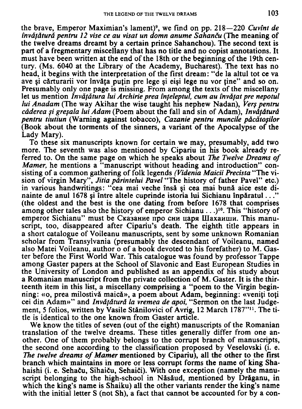the brave, Emperor Maximian's lament)<sup>9</sup> , we find on pp. 218—220 *Cuvint de invdfdturd pentru 12 vise ce au visat un domn anume Sahancu* (The meaning of the twelve dreams dreamt by a certain prince Sahanchou). The second text is part of a fregmentary miscellany that has no title and no copist annotations. It must have been written at the end of the 18th or the beginning of the 19th century. (Ms. 6040 at the Library of the Academy, Bucharest). The text has no head, it begins with the interpretation of the first dream: "de la altul tot ce va ave și cărturarii vor învăța puțin pre lege și eiși lege nu vor ține" and so on. Presumably only one page is missing. From among the texts of the miscellany let us mention *Invățătura lui Archirie prea înțeleptul, cum au învățat pre nepotul lui Anadam* (The way Akihar the wise taught his nephew Nadan), *Vers pentru cdderea si gresala lui Adam* (Poem about the fall and sin of Adam), *Invdfdturd pentru tiutiun* (Warning against tobacco), *Cazanie pentru muncile pdcdtosilor*  (Book about the torments of the sinners, a variant of the Apocalypse of the Lady Mary).

To these six manuscripts known for certain we may, presumably, add two more. The seventh was also mentioned by Cipariu in his book already referred to. On the same page on which he speaks about *The Twelve Dreams of Mamer*, he mentions a "manuscript without heading and introduction" consisting of a common gathering of folk legends *(Videnia Maicii Precista* "The vision of virgin Mary", *Jitia pdrintelui Pavel* "The history of father Pavel" etc.) in various handwritings: "cea mai veche insa si cea mai buna aice este dinainte de anul 1678 si intre altele cuprinde istoria lui Sichianu inparatul..." (the oldest and the best is the one dating from before 1678 that comprises among other tales also the history of emperor Sichianu . . .)<sup>10</sup>. This "history of етрегог Sichianu" must be Сказание про сни царя Шахаиши. This manuscript, too, disappeared after Cipariu's death. The eighth title appears in a short catalogue of Voileanu manuscripts, sent by some unknown Romanian scholar from Transylvania (presumably the descendant of Voileanu, named also Matei Voileanu, author o of a book devoted to his forefather) to M . Gaster before the First World War. This catalogue was found by professor Tappe among Gaster papers at the School of Slavonic and East European Studies in the University of London and published as an appendix of his study about a Romanian manuscript from the private collection of M. Gaster. It is the thirteenth item in this list, a miscellany comprising a "poem to the Virgin beginning: «o, prea milostivă maică», a poem about Adam, beginning: «veniți toți cei din Adam»" and *Invdfdturd la vremea de apoi,* "Sermon on the last Judgement, 5 folios, written by Vasile Stănilovici of Avrig, 12 March 1787"<sup>11</sup>. The title is identical to the one known from Gaster article.

We know the titles of seven (out of the eight) manuscripts of the Romanian translation of the twelve dreams. These titles generally differ from one another. One of them probably belongs to the corrupt branch of manuscripts, the second one according to the classification proposed by Veselovski (i. e. *The twelve dreams of Mamer* mentioned by Cipariu), all the other to the first branch which maintains in more or less corrupt forms the name of king Shahaishi (i. e. Sehaču, Sihaiču, Sehaiči). With one exception (namely the manuscript belonging to the high-school in Năsăud, mentioned by Drăganu, in which the king's name is Shaiku) all the other variants render the king's name with the initial letter S (not Sh), a fact that cannot be accounted for by a con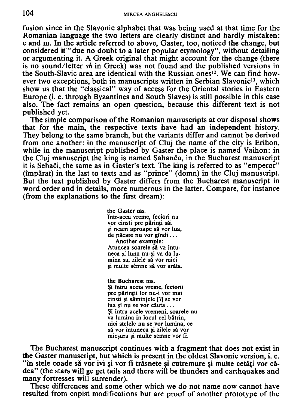fusion since in the Slavonic alphabet that was being used at that time for the Romanian language the two letters are clearly distinct and hardly mistaken: c and m. In the article referred to above, Gaster, too, noticed the change, but considered it "due no doubt to a later popular etymology", without detailing or argumenting it. A Greek original that might account for the change (there is no sound/letter *sh* in Greek) was not found and the published versions in the South-Slavic area are identical with the Russian ones<sup>12</sup>. We can find however two exceptions, both in manuscripts written in Serbian Slavonic<sup>13</sup>, which show us that the "classical" way of access for the Oriental stories in Eastern Europe (i. e. through Byzantines and South Slaves) is still possible in this case also. The fact remains an open question, because this different text is not published yet.

The simple comparison of the Romanian manuscripts at our disposal shows that for the main, the respective texts have had an independent history. They belong to the same branch, but the variants differ and cannot be derived from one another: in the manuscript of Cluj the name of the city is Erihon, while in the manuscript published by Gaster the place is named Vaihon; in the Cluj manuscript the king is named Sahancu, in the Bucharest manuscript it is Sehači, the same as in Gaster's text. The king is referred to as "emperor" (imparat) in the last to texts and as "prince" (domn) in the Cluj manuscript. But the text published by Gaster differs from the Bucharest manuscript in word order and in details, more numerous in the latter. Compare, for instance (from the explanations to the first dream):

> **the Gaster ms. Intr-acea vreme, feciori nu vor cinsti pre p4rin(i sai si neam aproape** *si* **vor lua, de p&cate nu vor gindi... Another example:**  Atuncea soarele să va întu**neca si luna nu-si va da lumina sa, zilele** *si* **vor mici si multe semne** *si* **vor arata.**

**the Bucharest ms. §i intru aceia vreme, feciorii pre p&rintii lor nu-i vor mai cinsti si siminfele [?] se vor lua si nu se vor cauta .. . §i intru acele vremeni, soarele nu va lumina in locul eel b&trin, nici stelele nu se vor lumina, ce sa vor intuneca si zilele si vor micsura si multe semne vor fi.** 

The Bucharest manuscript continues with a fragment that does not exist in the Gaster manuscript, but which is present in the oldest Slavonic version, i. e. "în stele coade să vor ivi si vor fi trăsnete și cutremure și multe cetăți vor cădea" (the stars will ge get tails and there will be thunders and earthquakes and many fortresses will surrender).

These differences and some other which we do not name now cannot have resulted from copist modifications but are proof of another prototype of the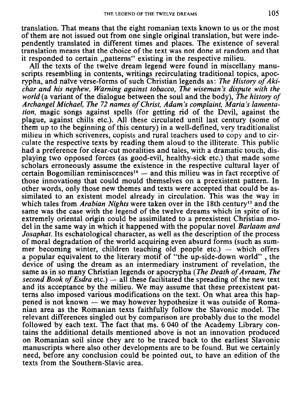translation. That means that the eight romanian texts known to us or the most of them are not issued out from one single original translation, but were independently translated in different times and places. The existence of several translation means that the choice of the text was not done at random and that it responded to certain "patterns" existing in the respective milieu.

All the texts of the twelve dream legend were found in miscellany manuscripts resembling in contents, writings recirculating traditional topics, apocrypha, and naive verse-forms of such Christian legends as: *The History of Akichar and his nephew, Warning against tobacco, The wiseman's dispute with the world* (a variant of the dialogue between the soul and the body), *The history of Archangel Michael, The 72 names of Christ, Adam's complaint, Maria's lamentation,* magic songs against spells (for getting rid of the Devil, against the plague, against chills etc.). All these circulated until last century (some of them up to the beginning of this century) in a well-defined, very traditionalist milieu in which scriveners, copists and rural teachers used to copy and to circulate the respective texts by reading them aloud to the illiterate. This public had a preference for clear-cut moralities and tales, with a dramatic touch, displaying two opposed forces (as good-evil, healthy-sick etc.) that made some scholars erroneously assume the existence in the respective cultural layer of  $c$ ertain Bogomilian reminiscences<sup>14</sup>  $-$  and this milieu was in fact receptive of those innovations that could mould themselves on a preexistent pattern. In other words, only those new themes and texts were accepted that could be assimilated to an existent model already in circulation. This was the way in which tales from *Arabian Nights* were taken over in the 18th century<sup>15</sup> and the same was the case with the legend of the twelve dreams which in spite of its extremely oriental origin could be assimilated to a preexistent Christian model in the same way in which it happened with the popular novel *Barlaam and Josaphat.* Its eschatological character, as well as the description of the process of moral degradation of the world acquiring even absurd forms (such as summer becoming winter, children teaching old people etc.) — which offers a popular equivalent to the literary motif of "the up-side-down world" , the device of using the dream as an intermediary instrument of revelation, the same as in so many Christian legends or apocrypha *{The Death of Avraam, The second Book of Esdra* etc.) — all these facilitated the spreading of the new text and its acceptance by the milieu. We may assume that these preexistent patterns also imposed various modifications on the text. On what area this happened is not known - we may however hypothesize it was outside of Romanian area as the Romanian texts faithfully follow the Slavonic model. The relevant differences singled out by comparison are probably due to the model followed by each text. The fact that ms. 6 040 of the Academy Library contains the additional details mentioned above is not an innovation produced on Romanian soil since they are to be traced back to the earliest Slavonic manuscripts where also other developments are to be found. But we certainly need, before any conclusion could be pointed out, to have an edition of the texts from the Southern-Slavic area.